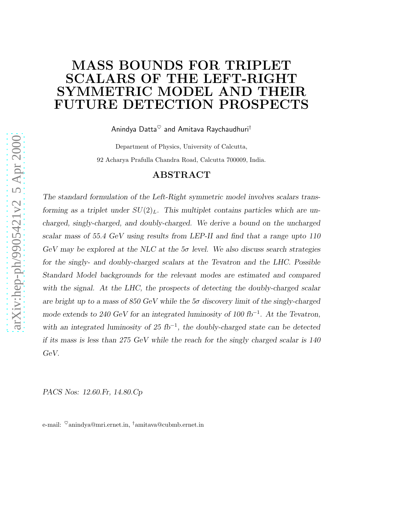## MASS BOUNDS FOR TRIPLET SCALARS OF THE LEFT-RIGHT SYMMETRIC MODEL AND THEIR FUTURE DETECTION PROSPECTS

Anindya Datta $^{\heartsuit}$  and Amitava Raychaudhuri<sup>†</sup>

Department of Physics, University of Calcutta, 92 Acharya Prafulla Chandra Road, Calcutta 700009, India.

#### ABSTRACT

*The standard formulation of the Left-Right symmetric model involves scalars transforming as a triplet under*  $SU(2)_L$ . This multiplet contains particles which are un*charged, singly-charged, and doubly-charged. We derive a bound on the uncharged scalar mass of 55.4 GeV using results from LEP-II and find that a range upto 110 GeV may be explored at the NLC at the 5*σ *level. We also discuss search strategies for the singly- and doubly-charged scalars at the Tevatron and the LHC. Possible Standard Model backgrounds for the relevant modes are estimated and compared with the signal. At the LHC, the prospects of detecting the doubly-charged scalar are bright up to a mass of 850 GeV while the 5*σ *discovery limit of the singly-charged mode extends to 240 GeV for an integrated luminosity of 100 fb*<sup>−</sup><sup>1</sup> *. At the Tevatron, with an integrated luminosity of 25 fb*<sup>−1</sup>, the doubly-charged state can be detected *if its mass is less than 275 GeV while the reach for the singly charged scalar is 140 GeV.*

*PACS Nos: 12.60.Fr, 14.80.Cp*

e-mail:  $^{\heartsuit}$ anindya@mri.ernet.in, <sup>†</sup>amitava@cubmb.ernet.in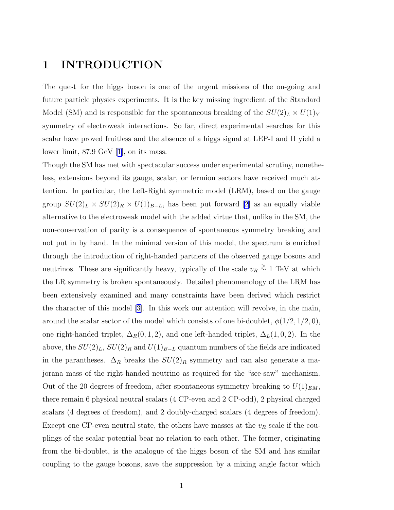### 1 INTRODUCTION

The quest for the higgs boson is one of the urgent missions of the on-going and future particle physics experiments. It is the key missing ingredient of the Standard Model (SM) and is responsible for the spontaneous breaking of the  $SU(2)_L \times U(1)_Y$ symmetry of electroweak interactions. So far, direct experimental searches for this scalar have proved fruitless and the absence of a higgs signal at LEP-I and II yield a lower limit, 87.9 GeV[[1\]](#page-16-0), on its mass.

Though the SM has met with spectacular success under experimental scrutiny, nonetheless, extensions beyond its gauge, scalar, or fermion sectors have received much attention. In particular, the Left-Right symmetric model (LRM), based on the gauge group  $SU(2)_L \times SU(2)_R \times U(1)_{B-L}$ , has been put forward [\[2](#page-16-0)] as an equally viable alternative to the electroweak model with the added virtue that, unlike in the SM, the non-conservation of parity is a consequence of spontaneous symmetry breaking and not put in by hand. In the minimal version of this model, the spectrum is enriched through the introduction of right-handed partners of the observed gauge bosons and neutrinos. These are significantly heavy, typically of the scale  $v_R \stackrel{\text{>}}{\sim} 1 \text{ TeV}$  at which the LR symmetry is broken spontaneously. Detailed phenomenology of the LRM has been extensively examined and many constraints have been derived which restrict the character of this model[[3\]](#page-16-0). In this work our attention will revolve, in the main, around the scalar sector of the model which consists of one bi-doublet,  $\phi(1/2, 1/2, 0)$ , one right-handed triplet,  $\Delta_R(0, 1, 2)$ , and one left-handed triplet,  $\Delta_L(1, 0, 2)$ . In the above, the  $SU(2)_L$ ,  $SU(2)_R$  and  $U(1)_{B-L}$  quantum numbers of the fields are indicated in the parantheses.  $\Delta_R$  breaks the  $SU(2)_R$  symmetry and can also generate a majorana mass of the right-handed neutrino as required for the "see-saw" mechanism. Out of the 20 degrees of freedom, after spontaneous symmetry breaking to  $U(1)_{EM}$ , there remain 6 physical neutral scalars (4 CP-even and 2 CP-odd), 2 physical charged scalars (4 degrees of freedom), and 2 doubly-charged scalars (4 degrees of freedom). Except one CP-even neutral state, the others have masses at the  $v_R$  scale if the couplings of the scalar potential bear no relation to each other. The former, originating from the bi-doublet, is the analogue of the higgs boson of the SM and has similar coupling to the gauge bosons, save the suppression by a mixing angle factor which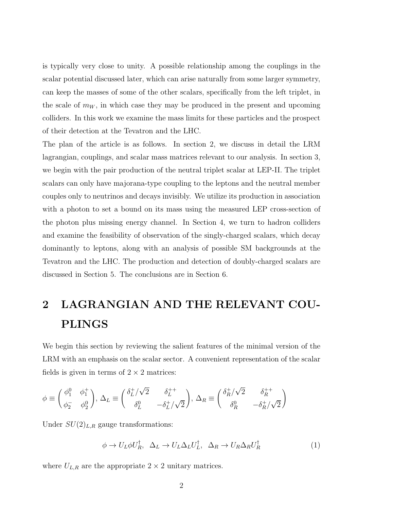is typically very close to unity. A possible relationship among the couplings in the scalar potential discussed later, which can arise naturally from some larger symmetry, can keep the masses of some of the other scalars, specifically from the left triplet, in the scale of  $m_W$ , in which case they may be produced in the present and upcoming colliders. In this work we examine the mass limits for these particles and the prospect of their detection at the Tevatron and the LHC.

The plan of the article is as follows. In section 2, we discuss in detail the LRM lagrangian, couplings, and scalar mass matrices relevant to our analysis. In section 3, we begin with the pair production of the neutral triplet scalar at LEP-II. The triplet scalars can only have majorana-type coupling to the leptons and the neutral member couples only to neutrinos and decays invisibly. We utilize its production in association with a photon to set a bound on its mass using the measured LEP cross-section of the photon plus missing energy channel. In Section 4, we turn to hadron colliders and examine the feasibility of observation of the singly-charged scalars, which decay dominantly to leptons, along with an analysis of possible SM backgrounds at the Tevatron and the LHC. The production and detection of doubly-charged scalars are discussed in Section 5. The conclusions are in Section 6.

## 2 LAGRANGIAN AND THE RELEVANT COU-PLINGS

We begin this section by reviewing the salient features of the minimal version of the LRM with an emphasis on the scalar sector. A convenient representation of the scalar fields is given in terms of  $2 \times 2$  matrices:

$$
\phi \equiv \begin{pmatrix} \phi_1^0 & \phi_1^+ \\ \phi_2^- & \phi_2^0 \end{pmatrix}, \ \Delta_L \equiv \begin{pmatrix} \delta_L^+/\sqrt{2} & \delta_L^{++} \\ \delta_L^0 & -\delta_L^+/\sqrt{2} \end{pmatrix}, \ \Delta_R \equiv \begin{pmatrix} \delta_R^+/\sqrt{2} & \delta_R^{++} \\ \delta_R^0 & -\delta_R^+/\sqrt{2} \end{pmatrix}
$$

Under  $SU(2)_{L,R}$  gauge transformations:

$$
\phi \to U_L \phi U_R^{\dagger}, \quad \Delta_L \to U_L \Delta_L U_L^{\dagger}, \quad \Delta_R \to U_R \Delta_R U_R^{\dagger} \tag{1}
$$

where  $U_{L,R}$  are the appropriate  $2 \times 2$  unitary matrices.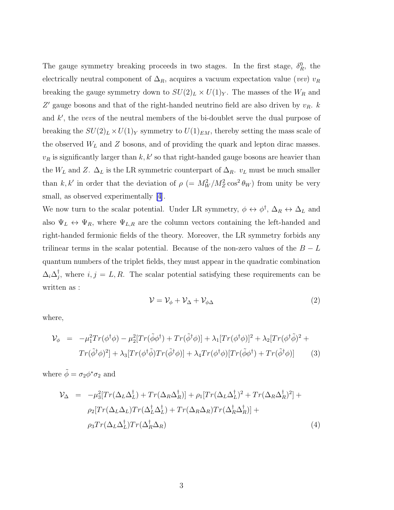The gauge symmetry breaking proceeds in two stages. In the first stage,  $\delta_R^0$ , the electrically neutral component of  $\Delta_R$ , acquires a vacuum expectation value (vev) v<sub>R</sub> breaking the gauge symmetry down to  $SU(2)_L \times U(1)_Y$ . The masses of the  $W_R$  and  $Z'$  gauge bosons and that of the right-handed neutrino field are also driven by  $v_R$ .  $k$ and  $k'$ , the vevs of the neutral members of the bi-doublet serve the dual purpose of breaking the  $SU(2)_L \times U(1)_Y$  symmetry to  $U(1)_{EM}$ , thereby setting the mass scale of the observed  $W_L$  and Z bosons, and of providing the quark and lepton dirac masses.  $v_R$  is significantly larger than  $k, k'$  so that right-handed gauge bosons are heavier than the  $W_L$  and Z.  $\Delta_L$  is the LR symmetric counterpart of  $\Delta_R$ .  $v_L$  must be much smaller than k, k' in order that the deviation of  $\rho$  (=  $M_W^2/M_Z^2 \cos^2 \theta_W$ ) from unity be very small, as observed experimentally [\[4\]](#page-16-0).

We now turn to the scalar potential. Under LR symmetry,  $\phi \leftrightarrow \phi^{\dagger}$ ,  $\Delta_R \leftrightarrow \Delta_L$  and also  $\Psi_L \leftrightarrow \Psi_R$ , where  $\Psi_{L,R}$  are the column vectors containing the left-handed and right-handed fermionic fields of the theory. Moreover, the LR symmetry forbids any trilinear terms in the scalar potential. Because of the non-zero values of the  $B - L$ quantum numbers of the triplet fields, they must appear in the quadratic combination  $\Delta_i\Delta_j^\dagger$ <sup> $\mathcal{I}_j$ </sup>, where  $i, j = L, R$ . The scalar potential satisfying these requirements can be written as :

$$
\mathcal{V} = \mathcal{V}_{\phi} + \mathcal{V}_{\Delta} + \mathcal{V}_{\phi\Delta} \tag{2}
$$

where,

$$
\mathcal{V}_{\phi} = -\mu_1^2 Tr(\phi^{\dagger} \phi) - \mu_2^2 [Tr(\tilde{\phi} \phi^{\dagger}) + Tr(\tilde{\phi}^{\dagger} \phi)] + \lambda_1 [Tr(\phi^{\dagger} \phi)]^2 + \lambda_2 [Tr(\phi^{\dagger} \tilde{\phi})^2 + Tr(\tilde{\phi}^{\dagger} \phi)^2] + \lambda_3 [Tr(\phi^{\dagger} \tilde{\phi}) Tr(\tilde{\phi}^{\dagger} \phi)] + \lambda_4 Tr(\phi^{\dagger} \phi) [Tr(\tilde{\phi} \phi^{\dagger}) + Tr(\tilde{\phi}^{\dagger} \phi)] \tag{3}
$$

where  $\tilde{\phi} = \sigma_2 \phi^* \sigma_2$  and

$$
\mathcal{V}_{\Delta} = -\mu_3^2 [Tr(\Delta_L \Delta_L^{\dagger}) + Tr(\Delta_R \Delta_R^{\dagger})] + \rho_1 [Tr(\Delta_L \Delta_L^{\dagger})^2 + Tr(\Delta_R \Delta_R^{\dagger})^2] +
$$
  
\n
$$
\rho_2 [Tr(\Delta_L \Delta_L) Tr(\Delta_L^{\dagger} \Delta_L^{\dagger}) + Tr(\Delta_R \Delta_R) Tr(\Delta_R^{\dagger} \Delta_R^{\dagger})] +
$$
  
\n
$$
\rho_3 Tr(\Delta_L \Delta_L^{\dagger}) Tr(\Delta_R^{\dagger} \Delta_R)
$$
\n(4)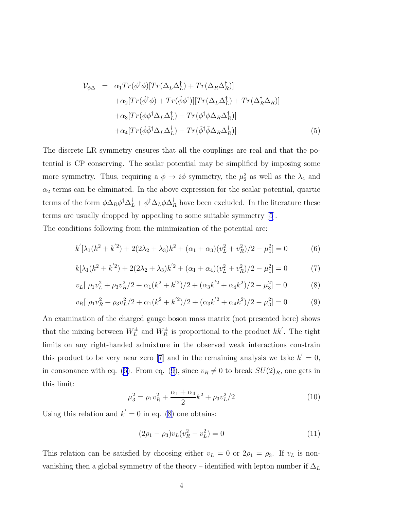$$
\mathcal{V}_{\phi\Delta} = \alpha_1 Tr(\phi^{\dagger} \phi) [Tr(\Delta_L \Delta_L^{\dagger}) + Tr(\Delta_R \Delta_R^{\dagger})]
$$
  
\n
$$
+ \alpha_2 [Tr(\tilde{\phi}^{\dagger} \phi) + Tr(\tilde{\phi} \phi^{\dagger})] [Tr(\Delta_L \Delta_L^{\dagger}) + Tr(\Delta_R^{\dagger} \Delta_R)]
$$
  
\n
$$
+ \alpha_3 [Tr(\phi \phi^{\dagger} \Delta_L \Delta_L^{\dagger}) + Tr(\phi^{\dagger} \phi \Delta_R \Delta_R^{\dagger})]
$$
  
\n
$$
+ \alpha_4 [Tr(\tilde{\phi} \tilde{\phi}^{\dagger} \Delta_L \Delta_L^{\dagger}) + Tr(\tilde{\phi}^{\dagger} \tilde{\phi} \Delta_R \Delta_R^{\dagger})]
$$
\n(5)

The discrete LR symmetry ensures that all the couplings are real and that the potential is CP conserving. The scalar potential may be simplified by imposing some more symmetry. Thus, requiring a  $\phi \to i\phi$  symmetry, the  $\mu_2^2$  as well as the  $\lambda_4$  and  $\alpha_2$  terms can be eliminated. In the above expression for the scalar potential, quartic terms of the form  $\phi \Delta_R \phi^{\dagger} \Delta_L^{\dagger} + \phi^{\dagger} \Delta_L \phi \Delta_R^{\dagger}$  have been excluded. In the literature these terms are usually dropped by appealing to some suitable symmetry [\[5](#page-16-0)]. The conditions following from the minimization of the potential are:

$$
k'[\lambda_1(k^2 + k'^2) + 2(2\lambda_2 + \lambda_3)k^2 + (\alpha_1 + \alpha_3)(v_L^2 + v_R^2)/2 - \mu_1^2] = 0
$$
 (6)

$$
k[\lambda_1(k^2 + k'^2) + 2(2\lambda_2 + \lambda_3)k'^2 + (\alpha_1 + \alpha_4)(v_L^2 + v_R^2)/2 - \mu_1^2] = 0
$$
 (7)

$$
v_L[\ \rho_1 v_L^2 + \rho_3 v_R^2 / 2 + \alpha_1 (k^2 + k'^2) / 2 + (\alpha_3 k'^2 + \alpha_4 k^2) / 2 - \mu_3^2] = 0 \tag{8}
$$

$$
v_R[\ \rho_1 v_R^2 + \rho_3 v_L^2 / 2 + \alpha_1 (k^2 + k'^2) / 2 + (\alpha_3 k'^2 + \alpha_4 k^2) / 2 - \mu_3^2] = 0 \tag{9}
$$

An examination of the charged gauge boson mass matrix (not presented here) shows that the mixing between  $W_L^{\pm}$  and  $W_R^{\pm}$  is proportional to the product  $kk'$ . The tight limits on any right-handed admixture in the observed weak interactions constrain this product to be very near zero [\[7](#page-16-0)] and in the remaining analysis we take  $k' = 0$ , in consonance with eq. (6). From eq. (9), since  $v_R \neq 0$  to break  $SU(2)_R$ , one gets in this limit:

$$
\mu_3^2 = \rho_1 v_R^2 + \frac{\alpha_1 + \alpha_4}{2} k^2 + \rho_3 v_L^2 / 2 \tag{10}
$$

Using this relation and  $k' = 0$  in eq. (8) one obtains:

$$
(2\rho_1 - \rho_3)v_L(v_R^2 - v_L^2) = 0
$$
\n(11)

This relation can be satisfied by choosing either  $v_L = 0$  or  $2\rho_1 = \rho_3$ . If  $v_L$  is nonvanishing then a global symmetry of the theory – identified with lepton number if  $\Delta_L$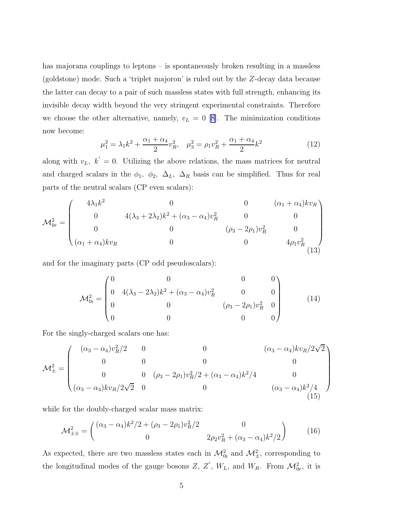<span id="page-5-0"></span>has majorana couplings to leptons – is spontaneously broken resulting in a massless (goldstone) mode. Such a 'triplet majoron' is ruled out by the Z-decay data because the latter can decay to a pair of such massless states with full strength, enhancing its invisible decay width beyond the very stringent experimental constraints. Therefore we choose the other alternative, namely,  $v_L = 0$  [\[8\]](#page-16-0). The minimization conditions now become:

$$
\mu_1^2 = \lambda_1 k^2 + \frac{\alpha_1 + \alpha_4}{2} v_R^2, \quad \mu_3^2 = \rho_1 v_R^2 + \frac{\alpha_1 + \alpha_4}{2} k^2 \tag{12}
$$

along with  $v_L$ ,  $k' = 0$ . Utilizing the above relations, the mass matrices for neutral and charged scalars in the  $\phi_1$ ,  $\phi_2$ ,  $\Delta_L$ ,  $\Delta_R$  basis can be simplified. Thus for real parts of the neutral scalars (CP even scalars):

$$
\mathcal{M}_{0r}^{2} = \begin{pmatrix} 4\lambda_{1}k^{2} & 0 & 0 & (\alpha_{1} + \alpha_{4})kv_{R} \\ 0 & 4(\lambda_{3} + 2\lambda_{2})k^{2} + (\alpha_{3} - \alpha_{4})v_{R}^{2} & 0 & 0 \\ 0 & 0 & (\rho_{3} - 2\rho_{1})v_{R}^{2} & 0 \\ (\alpha_{1} + \alpha_{4})kv_{R} & 0 & 0 & 4\rho_{1}v_{R}^{2} \\ 13) & 0 & 0 & 0 \end{pmatrix}
$$

and for the imaginary parts (CP odd pseudoscalars):

$$
\mathcal{M}_{0i}^2 = \begin{pmatrix} 0 & 0 & 0 & 0 \\ 0 & 4(\lambda_3 - 2\lambda_2)k^2 + (\alpha_3 - \alpha_4)v_R^2 & 0 & 0 \\ 0 & 0 & (\rho_3 - 2\rho_1)v_R^2 & 0 \\ 0 & 0 & 0 & 0 \end{pmatrix}
$$
(14)

For the singly-charged scalars one has:

$$
\mathcal{M}_{\pm}^{2} = \begin{pmatrix}\n(\alpha_{3} - \alpha_{4})v_{R}^{2}/2 & 0 & 0 & (\alpha_{3} - \alpha_{4})kv_{R}/2\sqrt{2} \\
0 & 0 & 0 & 0 \\
0 & 0 & (\rho_{3} - 2\rho_{1})v_{R}^{2}/2 + (\alpha_{3} - \alpha_{4})k^{2}/4 & 0 \\
(\alpha_{3} - \alpha_{4})kv_{R}/2\sqrt{2} & 0 & 0 & (\alpha_{3} - \alpha_{4})k^{2}/4\n\end{pmatrix}
$$

while for the doubly-charged scalar mass matrix:

$$
\mathcal{M}^2_{\pm\pm} = \begin{pmatrix} (\alpha_3 - \alpha_4)k^2/2 + (\rho_3 - 2\rho_1)v_R^2/2 & 0\\ 0 & 2\rho_2v_R^2 + (\alpha_3 - \alpha_4)k^2/2 \end{pmatrix}
$$
(16)

As expected, there are two massless states each in  $\mathcal{M}_{0i}^2$  and  $\mathcal{M}_{\pm}^2$ , corresponding to the longitudinal modes of the gauge bosons  $Z, Z', W_L$ , and  $W_R$ . From  $\mathcal{M}_{0r}^2$ , it is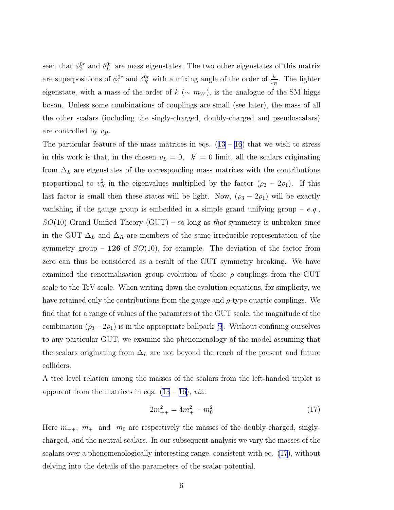<span id="page-6-0"></span>seen that  $\phi_2^{0r}$  and  $\delta_L^{0r}$  are mass eigenstates. The two other eigenstates of this matrix are superpositions of  $\phi_1^{0r}$  and  $\delta_R^{0r}$  with a mixing angle of the order of  $\frac{k}{v_R}$ . The lighter eigenstate, with a mass of the order of  $k$  ( $\sim m_W$ ), is the analogue of the SM higgs boson. Unless some combinations of couplings are small (see later), the mass of all the other scalars (including the singly-charged, doubly-charged and pseudoscalars) are controlled by  $v_R$ .

Theparticular feature of the mass matrices in eqs.  $(13 - 16)$  $(13 - 16)$  $(13 - 16)$  $(13 - 16)$  $(13 - 16)$  that we wish to stress in this work is that, in the chosen  $v_L = 0$ ,  $k' = 0$  limit, all the scalars originating from  $\Delta_L$  are eigenstates of the corresponding mass matrices with the contributions proportional to  $v_R^2$  in the eigenvalues multiplied by the factor  $(\rho_3 - 2\rho_1)$ . If this last factor is small then these states will be light. Now,  $(\rho_3 - 2\rho_1)$  will be exactly vanishing if the gauge group is embedded in a simple grand unifying group  $-e.g.,$  $SO(10)$  Grand Unified Theory (GUT) – so long as that symmetry is unbroken since in the GUT  $\Delta_L$  and  $\Delta_R$  are members of the same irreducible representation of the symmetry group – 126 of  $SO(10)$ , for example. The deviation of the factor from zero can thus be considered as a result of the GUT symmetry breaking. We have examined the renormalisation group evolution of these  $\rho$  couplings from the GUT scale to the TeV scale. When writing down the evolution equations, for simplicity, we have retained only the contributions from the gauge and  $\rho$ -type quartic couplings. We find that for a range of values of the paramters at the GUT scale, the magnitude of the combination $(\rho_3 - 2\rho_1)$  is in the appropriate ballpark [[9\]](#page-16-0). Without confining ourselves to any particular GUT, we examine the phenomenology of the model assuming that the scalars originating from  $\Delta_L$  are not beyond the reach of the present and future colliders.

A tree level relation among the masses of the scalars from the left-handed triplet is apparent from the matrices in eqs.  $(13 - 16)$  $(13 - 16)$ , *viz.*:

$$
2m_{++}^2 = 4m_+^2 - m_0^2 \tag{17}
$$

Here  $m_{++}$ ,  $m_+$  and  $m_0$  are respectively the masses of the doubly-charged, singlycharged, and the neutral scalars. In our subsequent analysis we vary the masses of the scalars over a phenomenologically interesting range, consistent with eq. (17), without delving into the details of the parameters of the scalar potential.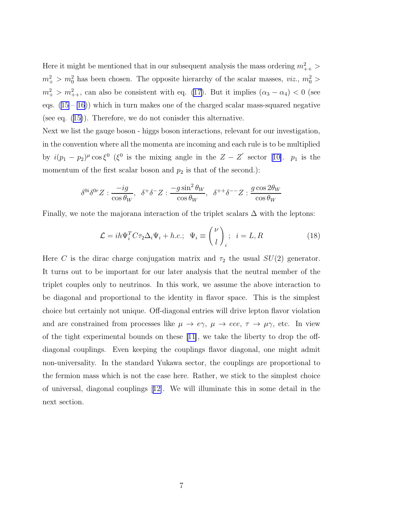<span id="page-7-0"></span>Here it might be mentioned that in our subsequent analysis the mass ordering  $m_{++}^2$  >  $m_+^2 > m_0^2$  has been chosen. The opposite hierarchy of the scalar masses, *viz.*,  $m_0^2 >$  $m_+^2 > m_{++}^2$ , can also be consistent with eq. [\(17\)](#page-6-0). But it implies  $(\alpha_3 - \alpha_4) < 0$  (see eqs.  $(15 - 16)$  $(15 - 16)$  $(15 - 16)$ ) which in turn makes one of the charged scalar mass-squared negative (see eq.([15\)](#page-5-0)). Therefore, we do not conisder this alternative.

Next we list the gauge boson - higgs boson interactions, relevant for our investigation, in the convention where all the momenta are incoming and each rule is to be multiplied by $i(p_1 - p_2)^{\mu} \cos \xi^0$  ( $\xi^0$  is the mixing angle in the  $Z - Z'$  sector [[10\]](#page-16-0).  $p_1$  is the momentum of the first scalar boson and  $p_2$  is that of the second.):

$$
\delta^{0i}\delta^{0r}Z : \frac{-ig}{\cos\theta_W}, \ \ \delta^+\delta^-Z : \frac{-g\sin^2\theta_W}{\cos\theta_W}, \ \ \delta^{++}\delta^{--}Z : \frac{g\cos2\theta_W}{\cos\theta_W}
$$

Finally, we note the majorana interaction of the triplet scalars  $\Delta$  with the leptons:

$$
\mathcal{L} = ih\Psi_i^T C \tau_2 \Delta_i \Psi_i + h.c.; \ \Psi_i \equiv {\binom{\nu}{l}}_i; \ i = L, R \tag{18}
$$

Here C is the dirac charge conjugation matrix and  $\tau_2$  the usual  $SU(2)$  generator. It turns out to be important for our later analysis that the neutral member of the triplet couples only to neutrinos. In this work, we assume the above interaction to be diagonal and proportional to the identity in flavor space. This is the simplest choice but certainly not unique. Off-diagonal entries will drive lepton flavor violation and are constrained from processes like  $\mu \to e\gamma$ ,  $\mu \to eee$ ,  $\tau \to \mu\gamma$ , etc. In view of the tight experimental bounds on these  $[11]$ , we take the liberty to drop the offdiagonal couplings. Even keeping the couplings flavor diagonal, one might admit non-universality. In the standard Yukawa sector, the couplings are proportional to the fermion mass which is not the case here. Rather, we stick to the simplest choice of universal, diagonal couplings[[12\]](#page-16-0). We will illuminate this in some detail in the next section.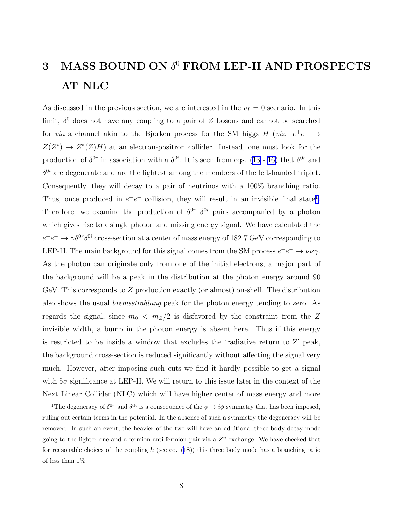## $3$  MASS BOUND ON  $\delta^0$  FROM LEP-II AND PROSPECTS AT NLC

As discussed in the previous section, we are interested in the  $v_L = 0$  scenario. In this limit,  $\delta^0$  does not have any coupling to a pair of Z bosons and cannot be searched for *via* a channel akin to the Bjorken process for the SM higgs  $H$  (*viz.*  $e^+e^- \rightarrow$  $Z(Z^*) \to Z^*(Z)H$  at an electron-positron collider. Instead, one must look for the productionof  $\delta^{0r}$  in association with a  $\delta^{0i}$ . It is seen from eqs. ([13](#page-5-0) - [16\)](#page-5-0) that  $\delta^{0r}$  and  $\delta^{0i}$  are degenerate and are the lightest among the members of the left-handed triplet. Consequently, they will decay to a pair of neutrinos with a 100% branching ratio. Thus, once produced in  $e^+e^-$  collision, they will result in an invisible final state<sup>1</sup>. Therefore, we examine the production of  $\delta^{0r}$   $\delta^{0i}$  pairs accompanied by a photon which gives rise to a single photon and missing energy signal. We have calculated the  $e^+e^- \to \gamma \delta^{0r} \delta^{0i}$  cross-section at a center of mass energy of 182.7 GeV corresponding to LEP-II. The main background for this signal comes from the SM process  $e^+e^- \to \nu \bar{\nu} \gamma$ . As the photon can originate only from one of the initial electrons, a major part of the background will be a peak in the distribution at the photon energy around 90 GeV. This corresponds to  $Z$  production exactly (or almost) on-shell. The distribution also shows the usual bremsstrahlung peak for the photon energy tending to zero. As regards the signal, since  $m_0 < m_Z/2$  is disfavored by the constraint from the Z invisible width, a bump in the photon energy is absent here. Thus if this energy is restricted to be inside a window that excludes the 'radiative return to Z' peak, the background cross-section is reduced significantly without affecting the signal very much. However, after imposing such cuts we find it hardly possible to get a signal with  $5\sigma$  significance at LEP-II. We will return to this issue later in the context of the Next Linear Collider (NLC) which will have higher center of mass energy and more

<sup>&</sup>lt;sup>1</sup>The degeneracy of  $\delta^{0r}$  and  $\delta^{0i}$  is a consequence of the  $\phi \to i\phi$  symmetry that has been imposed, ruling out certain terms in the potential. In the absence of such a symmetry the degeneracy will be removed. In such an event, the heavier of the two will have an additional three body decay mode going to the lighter one and a fermion-anti-fermion pair via a  $Z^*$  exchange. We have checked that forreasonable choices of the coupling h (see eq.  $(18)$  $(18)$ ) this three body mode has a branching ratio of less than 1%.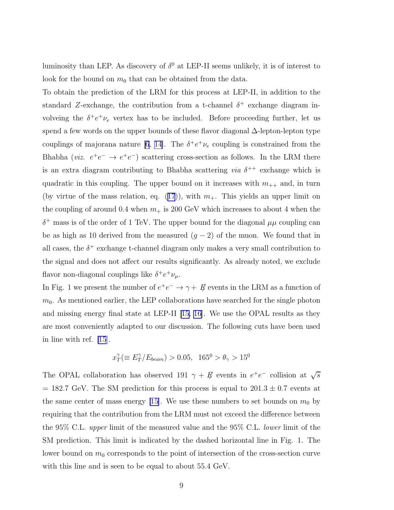luminosity than LEP. As discovery of  $\delta^0$  at LEP-II seems unlikely, it is of interest to look for the bound on  $m_0$  that can be obtained from the data.

To obtain the prediction of the LRM for this process at LEP-II, in addition to the standard Z-exchange, the contribution from a t-channel  $\delta^+$  exchange diagram involveing the  $\delta^+e^+\nu_e$  vertex has to be included. Before proceeding further, let us spend a few words on the upper bounds of these flavor diagonal ∆-lepton-lepton type couplings of majorana nature [\[6](#page-16-0), [14\]](#page-17-0). The  $\delta^+e^+\nu_e$  coupling is constrained from the Bhabha (*viz.*  $e^+e^- \rightarrow e^+e^-$ ) scattering cross-section as follows. In the LRM there is an extra diagram contributing to Bhabha scattering *via*  $\delta^{++}$  exchange which is quadratic in this coupling. The upper bound on it increases with  $m_{++}$  and, in turn (byvirtue of the mass relation, eq. ([17](#page-6-0))), with  $m_+$ . This yields an upper limit on the coupling of around 0.4 when  $m_+$  is 200 GeV which increases to about 4 when the  $\delta^+$  mass is of the order of 1 TeV. The upper bound for the diagonal  $\mu\mu$  coupling can be as high as 10 derived from the measured  $(g - 2)$  of the muon. We found that in all cases, the  $\delta^+$  exchange t-channel diagram only makes a very small contribution to the signal and does not affect our results significantly. As already noted, we exclude flavor non-diagonal couplings like  $\delta^+ e^+ \nu_\mu$ .

In Fig. 1 we present the number of  $e^+e^- \to \gamma + \not{E}$  events in the LRM as a function of  $m<sub>0</sub>$ . As mentioned earlier, the LEP collaborations have searched for the single photon and missing energy final state at LEP-II [\[15, 16\]](#page-17-0). We use the OPAL results as they are most conveniently adapted to our discussion. The following cuts have been used in line with ref. [\[15](#page-17-0)].

$$
x_T^{\gamma} (\equiv E_T^{\gamma}/E_{beam}) > 0.05, \ \ 165^0 > \theta_{\gamma} > 15^0
$$

The OPAL collaboration has observed 191  $\gamma + \vec{\mu}$  events in  $e^+e^-$  collision at  $\sqrt{s}$  $= 182.7$  GeV. The SM prediction for this process is equal to  $201.3 \pm 0.7$  events at the same center of mass energy [\[15\]](#page-17-0). We use these numbers to set bounds on  $m_0$  by requiring that the contribution from the LRM must not exceed the difference between the 95% C.L. upper limit of the measured value and the 95% C.L. lower limit of the SM prediction. This limit is indicated by the dashed horizontal line in Fig. 1. The lower bound on  $m_0$  corresponds to the point of intersection of the cross-section curve with this line and is seen to be equal to about 55.4 GeV.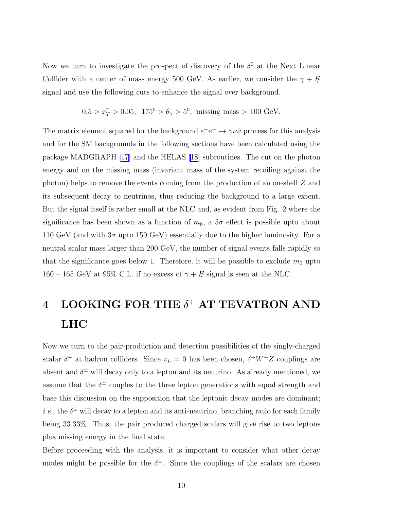Now we turn to investigate the prospect of discovery of the  $\delta^0$  at the Next Linear Collider with a center of mass energy 500 GeV. As earlier, we consider the  $\gamma + E/2$ signal and use the following cuts to enhance the signal over background.

$$
0.5 > x_T^{\gamma} > 0.05
$$
,  $175^0 > \theta_{\gamma} > 5^0$ , missing mass > 100 GeV.

The matrix element squared for the background  $e^+e^- \to \gamma \nu \bar{\nu}$  process for this analysis and for the SM backgrounds in the following sections have been calculated using the package MADGRAPH [\[17](#page-17-0)] and the HELAS [\[18\]](#page-17-0) subroutines. The cut on the photon energy and on the missing mass (invariant mass of the system recoiling against the photon) helps to remove the events coming from the production of an on-shell Z and its subsequent decay to neutrinos, thus reducing the background to a large extent. But the signal itself is rather small at the NLC and, as evident from Fig. 2 where the significance has been shown as a function of  $m_0$ , a  $5\sigma$  effect is possible upto about 110 GeV (and with  $3\sigma$  upto 150 GeV) essentially due to the higher luminosity. For a neutral scalar mass larger than 200 GeV, the number of signal events falls rapidly so that the significance goes below 1. Therefore, it will be possible to exclude  $m_0$  upto 160 – 165 GeV at 95% C.L. if no excess of  $\gamma + \vec{E}$  signal is seen at the NLC.

## $4$  LOOKING FOR THE  $\delta^+$  AT TEVATRON AND LHC

Now we turn to the pair-production and detection possibilities of the singly-charged scalar  $\delta^+$  at hadron colliders. Since  $v_L = 0$  has been chosen,  $\delta^+ W^- Z$  couplings are absent and  $\delta^{\pm}$  will decay only to a lepton and its neutrino. As already mentioned, we assume that the  $\delta^{\pm}$  couples to the three lepton generations with equal strength and base this discussion on the supposition that the leptonic decay modes are dominant; *i.e.*, the  $\delta^{\pm}$  will decay to a lepton and its anti-neutrino, branching ratio for each family being 33.33%. Thus, the pair produced charged scalars will give rise to two leptons plus missing energy in the final state.

Before proceeding with the analysis, it is important to consider what other decay modes might be possible for the  $\delta^{\pm}$ . Since the couplings of the scalars are chosen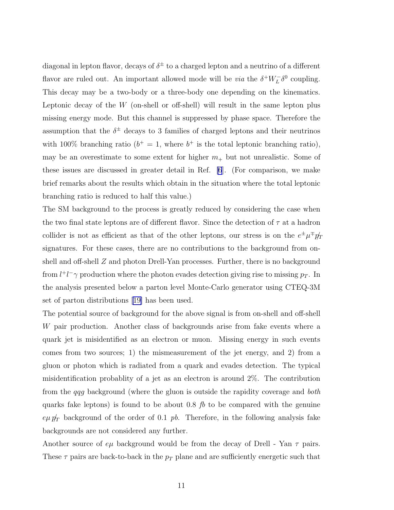diagonal in lepton flavor, decays of  $\delta^{\pm}$  to a charged lepton and a neutrino of a different flavor are ruled out. An important allowed mode will be *via* the  $\delta^+ W^-_L \delta^0$  coupling. This decay may be a two-body or a three-body one depending on the kinematics. Leptonic decay of the  $W$  (on-shell or off-shell) will result in the same lepton plus missing energy mode. But this channel is suppressed by phase space. Therefore the assumption that the  $\delta^{\pm}$  decays to 3 families of charged leptons and their neutrinos with 100% branching ratio ( $b^+=1$ , where  $b^+$  is the total leptonic branching ratio), may be an overestimate to some extent for higher  $m_+$  but not unrealistic. Some of these issues are discussed in greater detail in Ref. [\[6](#page-16-0)]. (For comparison, we make brief remarks about the results which obtain in the situation where the total leptonic branching ratio is reduced to half this value.)

The SM background to the process is greatly reduced by considering the case when the two final state leptons are of different flavor. Since the detection of  $\tau$  at a hadron collider is not as efficient as that of the other leptons, our stress is on the  $e^{\pm}\mu^{\mp}p_T$ signatures. For these cases, there are no contributions to the background from onshell and off-shell Z and photon Drell-Yan processes. Further, there is no background from  $l^+l^-\gamma$  production where the photon evades detection giving rise to missing  $p_T$ . In the analysis presented below a parton level Monte-Carlo generator using CTEQ-3M set of parton distributions [\[19\]](#page-17-0) has been used.

The potential source of background for the above signal is from on-shell and off-shell W pair production. Another class of backgrounds arise from fake events where a quark jet is misidentified as an electron or muon. Missing energy in such events comes from two sources; 1) the mismeasurement of the jet energy, and 2) from a gluon or photon which is radiated from a quark and evades detection. The typical misidentification probablity of a jet as an electron is around 2%. The contribution from the qqg background (where the gluon is outside the rapidity coverage and both quarks fake leptons) is found to be about 0.8 fb to be compared with the genuine  $e\mu p_T$  background of the order of 0.1 pb. Therefore, in the following analysis fake backgrounds are not considered any further.

Another source of  $e\mu$  background would be from the decay of Drell - Yan  $\tau$  pairs. These  $\tau$  pairs are back-to-back in the  $p<sub>T</sub>$  plane and are sufficiently energetic such that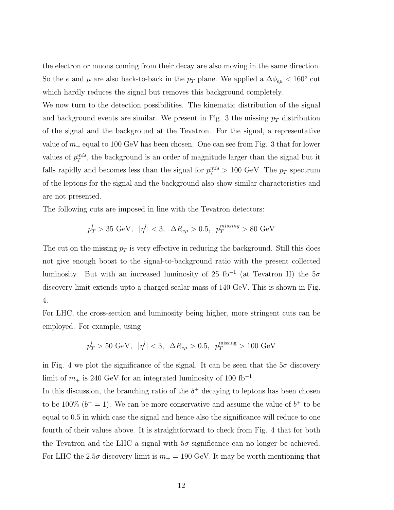the electron or muons coming from their decay are also moving in the same direction. So the e and  $\mu$  are also back-to-back in the  $p_T$  plane. We applied a  $\Delta \phi_{e\mu} < 160^{\circ}$  cut which hardly reduces the signal but removes this background completely.

We now turn to the detection possibilities. The kinematic distribution of the signal and background events are similar. We present in Fig. 3 the missing  $p<sub>T</sub>$  distribution of the signal and the background at the Tevatron. For the signal, a representative value of  $m_+$  equal to 100 GeV has been chosen. One can see from Fig. 3 that for lower values of  $p_T^{mis}$ , the background is an order of magnitude larger than the signal but it falls rapidly and becomes less than the signal for  $p_T^{mis} > 100 \text{ GeV}$ . The  $p_T$  spectrum of the leptons for the signal and the background also show similar characteristics and are not presented.

The following cuts are imposed in line with the Tevatron detectors:

$$
p_T^l > 35 \text{ GeV}, |\eta^l| < 3, \ \Delta R_{e\mu} > 0.5, \ p_T^{missing} > 80 \text{ GeV}
$$

The cut on the missing  $p_T$  is very effective in reducing the background. Still this does not give enough boost to the signal-to-background ratio with the present collected luminosity. But with an increased luminosity of 25 fb<sup>-1</sup> (at Tevatron II) the  $5\sigma$ discovery limit extends upto a charged scalar mass of 140 GeV. This is shown in Fig. 4.

For LHC, the cross-section and luminosity being higher, more stringent cuts can be employed. For example, using

$$
p_T^l > 50 \text{ GeV}, |\eta^l| < 3, \ \Delta R_{e\mu} > 0.5, \ p_T^{\text{missing}} > 100 \text{ GeV}
$$

in Fig. 4 we plot the significance of the signal. It can be seen that the  $5\sigma$  discovery limit of  $m_+$  is 240 GeV for an integrated luminosity of 100 fb<sup>-1</sup>.

In this discussion, the branching ratio of the  $\delta^+$  decaying to leptons has been chosen to be 100%  $(b^+ = 1)$ . We can be more conservative and assume the value of  $b^+$  to be equal to 0.5 in which case the signal and hence also the significance will reduce to one fourth of their values above. It is straightforward to check from Fig. 4 that for both the Tevatron and the LHC a signal with  $5\sigma$  significance can no longer be achieved. For LHC the 2.5 $\sigma$  discovery limit is  $m_+ = 190$  GeV. It may be worth mentioning that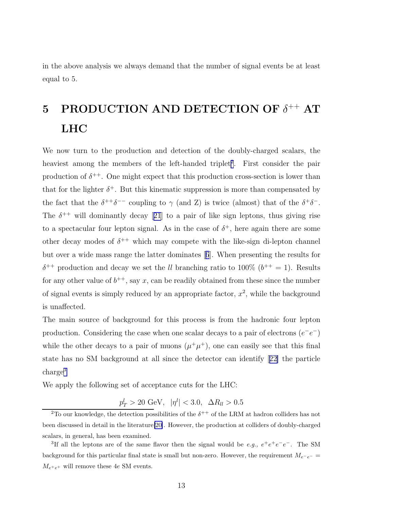in the above analysis we always demand that the number of signal events be at least equal to 5.

# 5 PRODUCTION AND DETECTION OF  $\delta^{++}$  AT LHC

We now turn to the production and detection of the doubly-charged scalars, the heaviest among the members of the left-handed triplet<sup>2</sup>. First consider the pair production of  $\delta^{++}$ . One might expect that this production cross-section is lower than that for the lighter  $\delta^+$ . But this kinematic suppression is more than compensated by the fact that the  $\delta^{++}\delta^{--}$  coupling to  $\gamma$  (and Z) is twice (almost) that of the  $\delta^{+}\delta^{-}$ . The $\delta^{++}$  will dominantly decay [[21](#page-17-0)] to a pair of like sign leptons, thus giving rise to a spectacular four lepton signal. As in the case of  $\delta^+$ , here again there are some other decay modes of  $\delta^{++}$  which may compete with the like-sign di-lepton channel but over a wide mass range the latter dominates[[6](#page-16-0)]. When presenting the results for  $\delta^{++}$  production and decay we set the *ll* branching ratio to 100\%  $(b^{++} = 1)$ . Results for any other value of  $b^{++}$ , say x, can be readily obtained from these since the number of signal events is simply reduced by an appropriate factor,  $x^2$ , while the background is unaffected.

The main source of background for this process is from the hadronic four lepton production. Considering the case when one scalar decays to a pair of electrons  $(e^-e^-)$ while the other decays to a pair of muons  $(\mu^+\mu^+)$ , one can easily see that this final state has no SM background at all since the detector can identify[[22\]](#page-17-0) the particle charge<sup>3</sup>

We apply the following set of acceptance cuts for the LHC:

 $p_T^l > 20 \text{ GeV}, \quad |\eta^l| < 3.0, \quad \Delta R_{ll} > 0.5$ 

<sup>&</sup>lt;sup>2</sup>To our knowledge, the detection possibilities of the  $\delta^{++}$  of the LRM at hadron colliders has not been discussed in detail in the literature[\[20\]](#page-17-0). However, the production at colliders of doubly-charged scalars, in general, has been examined.

<sup>&</sup>lt;sup>3</sup>If all the leptons are of the same flavor then the signal would be *e.g.*,  $e^+e^+e^-e^-$ . The SM background for this particular final state is small but non-zero. However, the requirement  $M_{e^-e^-}$  =  $M_{e^+e^+}$  will remove these 4e SM events.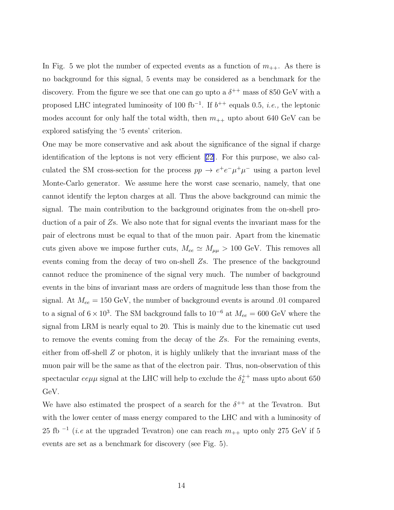In Fig. 5 we plot the number of expected events as a function of  $m_{++}$ . As there is no background for this signal, 5 events may be considered as a benchmark for the discovery. From the figure we see that one can go upto a  $\delta^{++}$  mass of 850 GeV with a proposed LHC integrated luminosity of 100 fb<sup>-1</sup>. If  $b^{++}$  equals 0.5, *i.e.*, the leptonic modes account for only half the total width, then  $m_{++}$  upto about 640 GeV can be explored satisfying the '5 events' criterion.

One may be more conservative and ask about the significance of the signal if charge identification of the leptons is not very efficient[[22\]](#page-17-0). For this purpose, we also calculated the SM cross-section for the process  $pp \to e^+e^-\mu^+\mu^-$  using a parton level Monte-Carlo generator. We assume here the worst case scenario, namely, that one cannot identify the lepton charges at all. Thus the above background can mimic the signal. The main contribution to the background originates from the on-shell production of a pair of  $\mathbb{Z}_8$ . We also note that for signal events the invariant mass for the pair of electrons must be equal to that of the muon pair. Apart from the kinematic cuts given above we impose further cuts,  $M_{ee} \simeq M_{\mu\mu} > 100$  GeV. This removes all events coming from the decay of two on-shell Zs. The presence of the background cannot reduce the prominence of the signal very much. The number of background events in the bins of invariant mass are orders of magnitude less than those from the signal. At  $M_{ee} = 150 \text{ GeV}$ , the number of background events is around .01 compared to a signal of  $6 \times 10^3$ . The SM background falls to  $10^{-6}$  at  $M_{ee} = 600$  GeV where the signal from LRM is nearly equal to 20. This is mainly due to the kinematic cut used to remove the events coming from the decay of the Zs. For the remaining events, either from off-shell  $Z$  or photon, it is highly unlikely that the invariant mass of the muon pair will be the same as that of the electron pair. Thus, non-observation of this spectacular  $ee\mu\mu$  signal at the LHC will help to exclude the  $\delta_L^{++}$  mass upto about 650 GeV.

We have also estimated the prospect of a search for the  $\delta^{++}$  at the Tevatron. But with the lower center of mass energy compared to the LHC and with a luminosity of 25 fb <sup>-1</sup> (*i.e* at the upgraded Tevatron) one can reach  $m_{++}$  upto only 275 GeV if 5 events are set as a benchmark for discovery (see Fig. 5).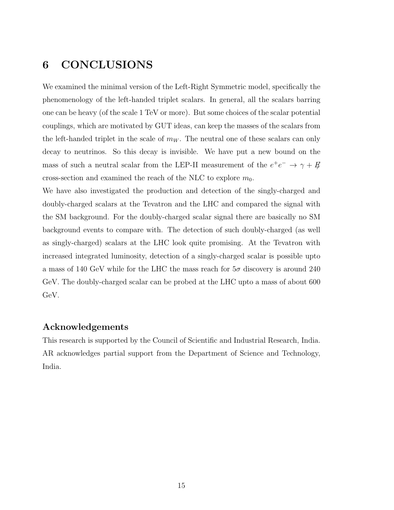### 6 CONCLUSIONS

We examined the minimal version of the Left-Right Symmetric model, specifically the phenomenology of the left-handed triplet scalars. In general, all the scalars barring one can be heavy (of the scale 1 TeV or more). But some choices of the scalar potential couplings, which are motivated by GUT ideas, can keep the masses of the scalars from the left-handed triplet in the scale of  $m_W$ . The neutral one of these scalars can only decay to neutrinos. So this decay is invisible. We have put a new bound on the mass of such a neutral scalar from the LEP-II measurement of the  $e^+e^- \rightarrow \gamma + E$ cross-section and examined the reach of the NLC to explore  $m_0$ .

We have also investigated the production and detection of the singly-charged and doubly-charged scalars at the Tevatron and the LHC and compared the signal with the SM background. For the doubly-charged scalar signal there are basically no SM background events to compare with. The detection of such doubly-charged (as well as singly-charged) scalars at the LHC look quite promising. At the Tevatron with increased integrated luminosity, detection of a singly-charged scalar is possible upto a mass of 140 GeV while for the LHC the mass reach for  $5\sigma$  discovery is around 240 GeV. The doubly-charged scalar can be probed at the LHC upto a mass of about 600 GeV.

#### Acknowledgements

This research is supported by the Council of Scientific and Industrial Research, India. AR acknowledges partial support from the Department of Science and Technology, India.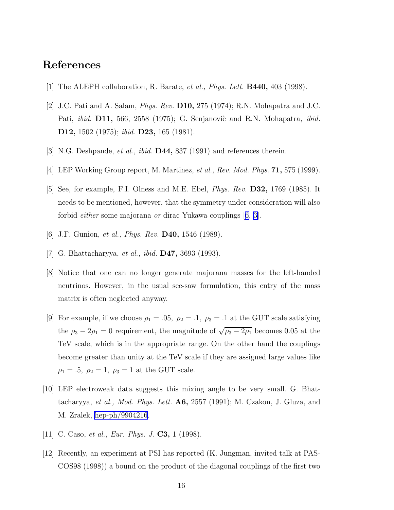### <span id="page-16-0"></span>References

- [1] The ALEPH collaboration, R. Barate, *et al., Phys. Lett.* **B440,** 403 (1998).
- [2] J.C. Pati and A. Salam, Phys. Rev. D10, 275 (1974); R.N. Mohapatra and J.C. Pati, *ibid.* **D11**, 566, 2558 (1975); G. Senjanovic and R.N. Mohapatra, *ibid.* D12, 1502 (1975); ibid. D23, 165 (1981).
- [3] N.G. Deshpande, *et al., ibid.* **D44,** 837 (1991) and references therein.
- [4] LEP Working Group report, M. Martinez, *et al., Rev. Mod. Phys.* **71**, 575 (1999).
- [5] See, for example, F.I. Olness and M.E. Ebel, Phys. Rev. D32, 1769 (1985). It needs to be mentioned, however, that the symmetry under consideration will also forbid either some majorana or dirac Yukawa couplings [6, 3].
- [6] J.F. Gunion, *et al., Phys. Rev.* **D40,** 1546 (1989).
- [7] G. Bhattacharyya, *et al., ibid.* **D47,** 3693 (1993).
- [8] Notice that one can no longer generate majorana masses for the left-handed neutrinos. However, in the usual see-saw formulation, this entry of the mass matrix is often neglected anyway.
- [9] For example, if we choose  $\rho_1 = .05$ ,  $\rho_2 = .1$ ,  $\rho_3 = .1$  at the GUT scale satisfying the  $\rho_3 - 2\rho_1 = 0$  requirement, the magnitude of  $\sqrt{\rho_3 - 2\rho_1}$  becomes 0.05 at the TeV scale, which is in the appropriate range. On the other hand the couplings become greater than unity at the TeV scale if they are assigned large values like  $\rho_1 = .5, \ \rho_2 = 1, \ \rho_3 = 1$  at the GUT scale.
- [10] LEP electroweak data suggests this mixing angle to be very small. G. Bhattacharyya, *et al., Mod. Phys. Lett.*  $\mathbf{A6}$ , 2557 (1991); M. Czakon, J. Gluza, and M. Zralek, [hep-ph/9904216](http://arxiv.org/abs/hep-ph/9904216).
- [11] C. Caso, *et al., Eur. Phys. J.* **C3**, 1 (1998).
- [12] Recently, an experiment at PSI has reported (K. Jungman, invited talk at PAS-COS98 (1998)) a bound on the product of the diagonal couplings of the first two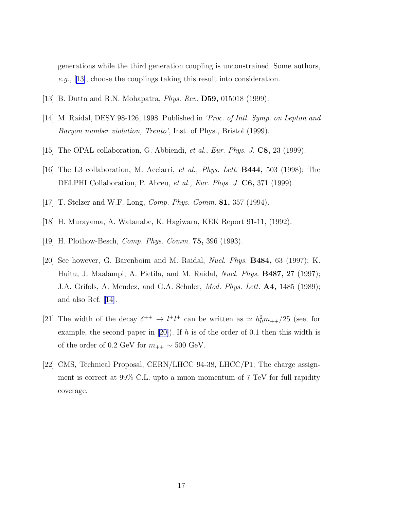<span id="page-17-0"></span>generations while the third generation coupling is unconstrained. Some authors, e.g., [13], choose the couplings taking this result into consideration.

- [13] B. Dutta and R.N. Mohapatra, Phys. Rev. D59, 015018 (1999).
- [14] M. Raidal, DESY 98-126, 1998. Published in 'Proc. of Intl. Symp. on Lepton and Baryon number violation, Trento', Inst. of Phys., Bristol (1999).
- [15] The OPAL collaboration, G. Abbiendi, et al., Eur. Phys. J. C8, 23 (1999).
- [16] The L3 collaboration, M. Acciarri, et al., Phys. Lett. B444, 503 (1998); The DELPHI Collaboration, P. Abreu, et al., Eur. Phys. J. C6, 371 (1999).
- [17] T. Stelzer and W.F. Long, Comp. Phys. Comm. 81, 357 (1994).
- [18] H. Murayama, A. Watanabe, K. Hagiwara, KEK Report 91-11, (1992).
- [19] H. Plothow-Besch, Comp. Phys. Comm. 75, 396 (1993).
- [20] See however, G. Barenboim and M. Raidal, Nucl. Phys. B484, 63 (1997); K. Huitu, J. Maalampi, A. Pietila, and M. Raidal, *Nucl. Phys.* **B487**, 27 (1997); J.A. Grifols, A. Mendez, and G.A. Schuler, *Mod. Phys. Lett.* **A4**, 1485 (1989); and also Ref. [14].
- [21] The width of the decay  $\delta^{++} \to l^+l^+$  can be written as  $\simeq h_{ll}^2m_{++}/25$  (see, for example, the second paper in [20]). If h is of the order of 0.1 then this width is of the order of 0.2 GeV for  $m_{++} \sim 500$  GeV.
- [22] CMS, Technical Proposal, CERN/LHCC 94-38, LHCC/P1; The charge assignment is correct at 99% C.L. upto a muon momentum of 7 TeV for full rapidity coverage.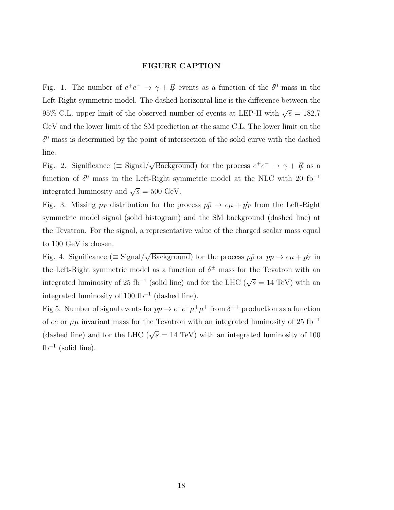#### FIGURE CAPTION

Fig. 1. The number of  $e^+e^- \to \gamma + \frac{\pi}{2}$  events as a function of the  $\delta^0$  mass in the Left-Right symmetric model. The dashed horizontal line is the difference between the 95% C.L. upper limit of the observed number of events at LEP-II with  $\sqrt{s} = 182.7$ GeV and the lower limit of the SM prediction at the same C.L. The lower limit on the  $\delta^{0}$  mass is determined by the point of intersection of the solid curve with the dashed line.

Fig. 2. Significance ( $\equiv$  Signal/ $\sqrt{\text{Background}}$ ) for the process  $e^+e^- \rightarrow \gamma + \cancel{E}$  as a function of  $\delta^0$  mass in the Left-Right symmetric model at the NLC with 20 fb<sup>-1</sup> integrated luminosity and  $\sqrt{s} = 500 \text{ GeV}.$ 

Fig. 3. Missing  $p_T$  distribution for the process  $p\bar{p} \rightarrow e\mu + p_T$  from the Left-Right symmetric model signal (solid histogram) and the SM background (dashed line) at the Tevatron. For the signal, a representative value of the charged scalar mass equal to 100 GeV is chosen.

Fig. 4. Significance ( $\equiv$  Signal/ $\sqrt{\text{Background}}$ ) for the process  $p\bar{p}$  or  $pp \to e\mu + p_T$  in the Left-Right symmetric model as a function of  $\delta^{\pm}$  mass for the Tevatron with an integrated luminosity of 25 fb<sup>-1</sup> (solid line) and for the LHC ( $\sqrt{s}$  = 14 TeV) with an integrated luminosity of 100 fb<sup>−</sup><sup>1</sup> (dashed line).

Fig 5. Number of signal events for  $pp \to e^-e^- \mu^+ \mu^+$  from  $\delta^{++}$  production as a function of ee or  $\mu\mu$  invariant mass for the Tevatron with an integrated luminosity of 25 fb<sup>-1</sup> (dashed line) and for the LHC ( $\sqrt{s}$  = 14 TeV) with an integrated luminosity of 100  $fb^{-1}$  (solid line).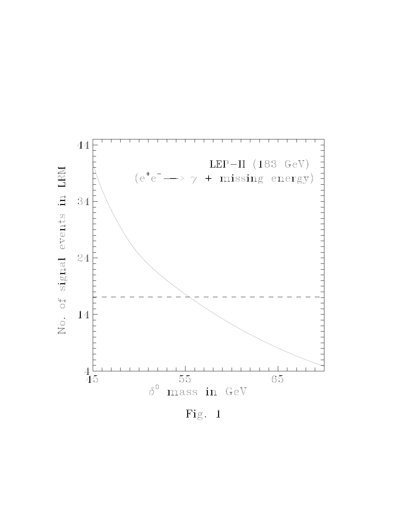

Fig. 1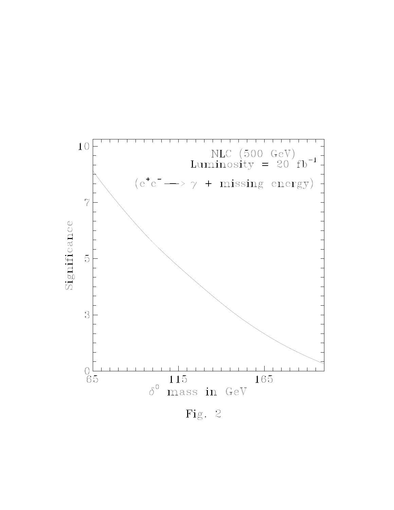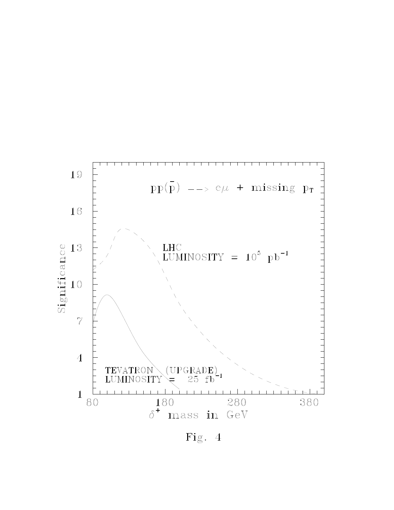

Fig. 4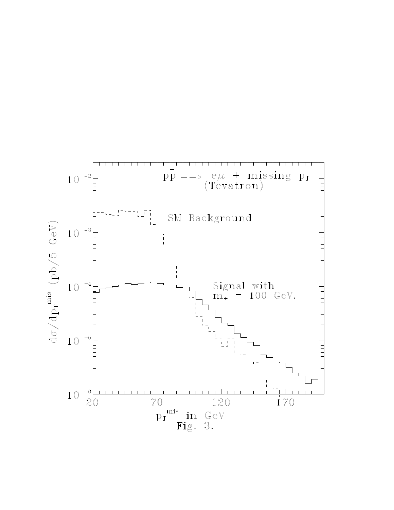